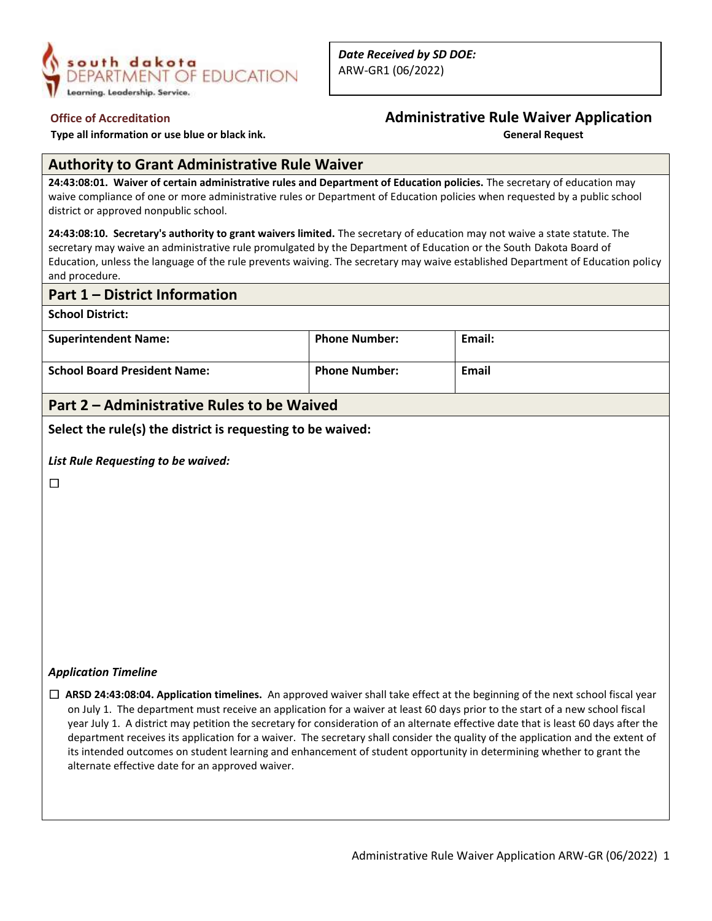

*Date Received by SD DOE:* ARW-GR1 (06/2022)

 **Type all information or use blue or black ink.** 

# **Office of Accreditation**<br> **Administrative Rule Waiver Application**<br> **General Request**<br> **Administrative Rule Waiver Application**

#### **Authority to Grant Administrative Rule Waiver**

**24:43:08:01. Waiver of certain administrative rules and Department of Education policies.** The secretary of education may waive compliance of one or more administrative rules or Department of Education policies when requested by a public school district or approved nonpublic school.

**24:43:08:10. Secretary's authority to grant waivers limited.** The secretary of education may not waive a state statute. The secretary may waive an administrative rule promulgated by the Department of Education or the South Dakota Board of Education, unless the language of the rule prevents waiving. The secretary may waive established Department of Education policy and procedure.

#### **Part 1 – District Information**

**School District:**

| <b>Superintendent Name:</b>         | <b>Phone Number:</b> | Email: |
|-------------------------------------|----------------------|--------|
| <b>School Board President Name:</b> | <b>Phone Number:</b> | Email  |

### **Part 2 – Administrative Rules to be Waived**

**Select the rule(s) the district is requesting to be waived:**

*List Rule Requesting to be waived:*

 $\Box$ 

#### *Application Timeline*

☐ **ARSD 24:43:08:04. Application timelines.** An approved waiver shall take effect at the beginning of the next school fiscal year on July 1. The department must receive an application for a waiver at least 60 days prior to the start of a new school fiscal year July 1. A district may petition the secretary for consideration of an alternate effective date that is least 60 days after the department receives its application for a waiver. The secretary shall consider the quality of the application and the extent of its intended outcomes on student learning and enhancement of student opportunity in determining whether to grant the alternate effective date for an approved waiver.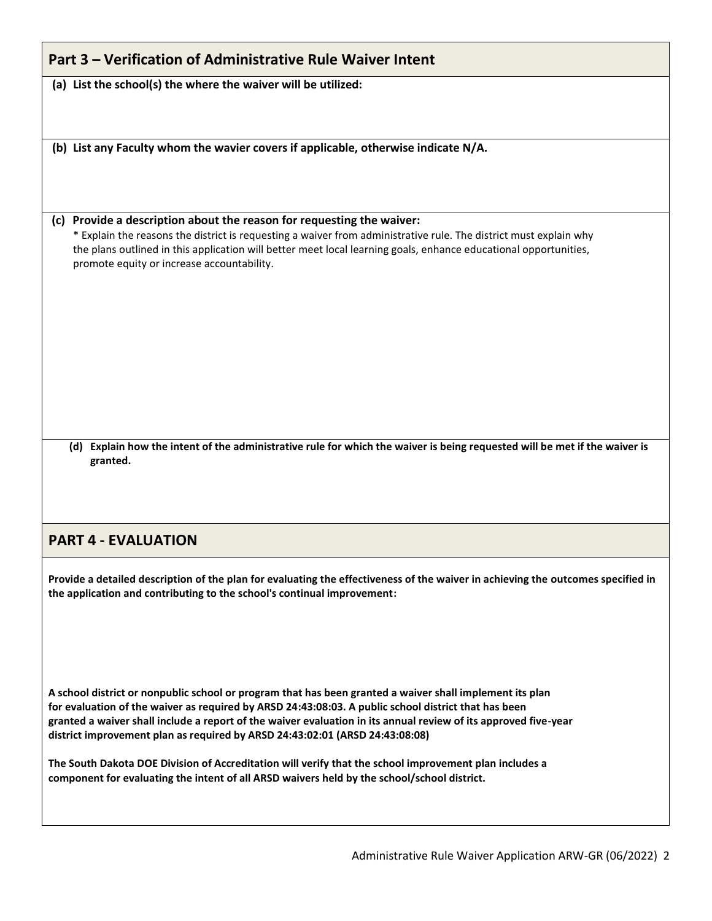| Part 3 – Verification of Administrative Rule Waiver Intent                                                                                                                                                                                                                                                                                                                                                          |  |  |
|---------------------------------------------------------------------------------------------------------------------------------------------------------------------------------------------------------------------------------------------------------------------------------------------------------------------------------------------------------------------------------------------------------------------|--|--|
| (a) List the school(s) the where the waiver will be utilized:                                                                                                                                                                                                                                                                                                                                                       |  |  |
|                                                                                                                                                                                                                                                                                                                                                                                                                     |  |  |
| (b) List any Faculty whom the wavier covers if applicable, otherwise indicate N/A.                                                                                                                                                                                                                                                                                                                                  |  |  |
|                                                                                                                                                                                                                                                                                                                                                                                                                     |  |  |
| (c) Provide a description about the reason for requesting the waiver:<br>* Explain the reasons the district is requesting a waiver from administrative rule. The district must explain why<br>the plans outlined in this application will better meet local learning goals, enhance educational opportunities,<br>promote equity or increase accountability.                                                        |  |  |
|                                                                                                                                                                                                                                                                                                                                                                                                                     |  |  |
|                                                                                                                                                                                                                                                                                                                                                                                                                     |  |  |
|                                                                                                                                                                                                                                                                                                                                                                                                                     |  |  |
| (d) Explain how the intent of the administrative rule for which the waiver is being requested will be met if the waiver is<br>granted.                                                                                                                                                                                                                                                                              |  |  |
|                                                                                                                                                                                                                                                                                                                                                                                                                     |  |  |
| <b>PART 4 - EVALUATION</b>                                                                                                                                                                                                                                                                                                                                                                                          |  |  |
| Provide a detailed description of the plan for evaluating the effectiveness of the waiver in achieving the outcomes specified in<br>the application and contributing to the school's continual improvement:                                                                                                                                                                                                         |  |  |
|                                                                                                                                                                                                                                                                                                                                                                                                                     |  |  |
| A school district or nonpublic school or program that has been granted a waiver shall implement its plan<br>for evaluation of the waiver as required by ARSD 24:43:08:03. A public school district that has been<br>granted a waiver shall include a report of the waiver evaluation in its annual review of its approved five-year<br>district improvement plan as required by ARSD 24:43:02:01 (ARSD 24:43:08:08) |  |  |

**The South Dakota DOE Division of Accreditation will verify that the school improvement plan includes a component for evaluating the intent of all ARSD waivers held by the school/school district.**